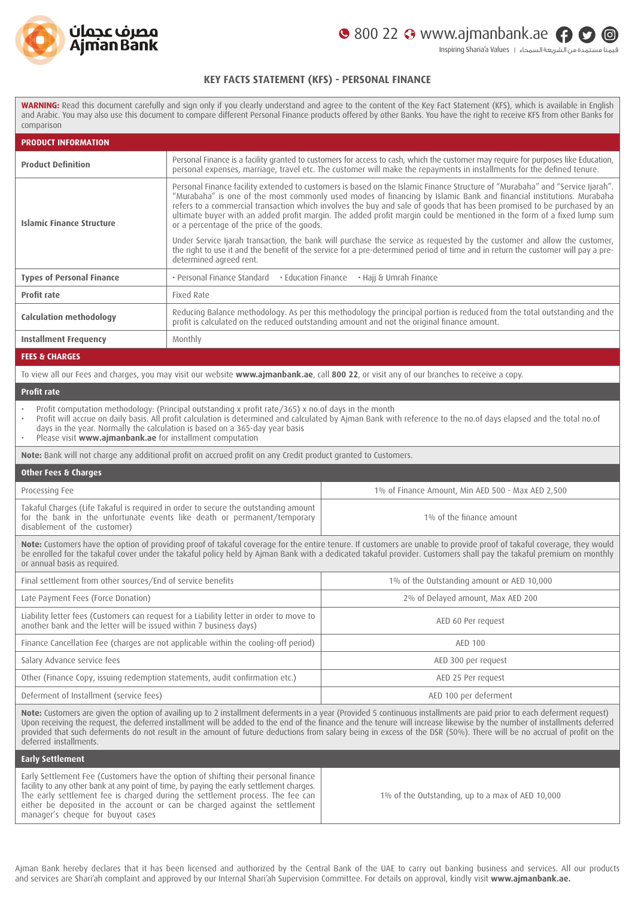



قيمنا مستمدة من الشريعة السمحاء | Values a'Sharia Inspiring

## **KEY FACTS STATEMENT (KFS) - PERSONAL FINANCE**

**WARNING:** Read this document carefully and sign only if you clearly understand and agree to the content of the Key Fact Statement (KFS), which is available in English and Arabic. You may also use this document to compare different Personal Finance products offered by other Banks. You have the right to receive KFS from other Banks for comparison

| <b>PRODUCT INFORMATION</b>                                                                                                                                                                                                                                                                                                                                                                                           |                                                                                                                                                                                                                          |                                                                                                                                                                                                                                                                                                                                                                                                                                                                                                                                |  |  |
|----------------------------------------------------------------------------------------------------------------------------------------------------------------------------------------------------------------------------------------------------------------------------------------------------------------------------------------------------------------------------------------------------------------------|--------------------------------------------------------------------------------------------------------------------------------------------------------------------------------------------------------------------------|--------------------------------------------------------------------------------------------------------------------------------------------------------------------------------------------------------------------------------------------------------------------------------------------------------------------------------------------------------------------------------------------------------------------------------------------------------------------------------------------------------------------------------|--|--|
| <b>Product Definition</b>                                                                                                                                                                                                                                                                                                                                                                                            |                                                                                                                                                                                                                          | Personal Finance is a facility granted to customers for access to cash, which the customer may require for purposes like Education,<br>personal expenses, marriage, travel etc. The customer will make the repayments in installments for the defined tenure.                                                                                                                                                                                                                                                                  |  |  |
| <b>Islamic Finance Structure</b>                                                                                                                                                                                                                                                                                                                                                                                     | or a percentage of the price of the goods.                                                                                                                                                                               | Personal Finance facility extended to customers is based on the Islamic Finance Structure of "Murabaha" and "Service Ijarah".<br>"Murabaha" is one of the most commonly used modes of financing by Islamic Bank and financial institutions. Murabaha<br>refers to a commercial transaction which involves the buy and sale of goods that has been promised to be purchased by an<br>ultimate buyer with an added profit margin. The added profit margin could be mentioned in the form of a fixed lump sum                     |  |  |
|                                                                                                                                                                                                                                                                                                                                                                                                                      | determined agreed rent.                                                                                                                                                                                                  | Under Service Ijarah transaction, the bank will purchase the service as requested by the customer and allow the customer,<br>the right to use it and the benefit of the service for a pre-determined period of time and in return the customer will pay a pre-                                                                                                                                                                                                                                                                 |  |  |
| <b>Types of Personal Finance</b>                                                                                                                                                                                                                                                                                                                                                                                     | · Personal Finance Standard<br>• Education Finance<br>• Hajj & Umrah Finance                                                                                                                                             |                                                                                                                                                                                                                                                                                                                                                                                                                                                                                                                                |  |  |
| <b>Profit rate</b>                                                                                                                                                                                                                                                                                                                                                                                                   | Fixed Rate                                                                                                                                                                                                               |                                                                                                                                                                                                                                                                                                                                                                                                                                                                                                                                |  |  |
| <b>Calculation methodology</b>                                                                                                                                                                                                                                                                                                                                                                                       | Reducing Balance methodology. As per this methodology the principal portion is reduced from the total outstanding and the<br>profit is calculated on the reduced outstanding amount and not the original finance amount. |                                                                                                                                                                                                                                                                                                                                                                                                                                                                                                                                |  |  |
| <b>Installment Frequency</b>                                                                                                                                                                                                                                                                                                                                                                                         | Monthly                                                                                                                                                                                                                  |                                                                                                                                                                                                                                                                                                                                                                                                                                                                                                                                |  |  |
| <b>FEES &amp; CHARGES</b>                                                                                                                                                                                                                                                                                                                                                                                            |                                                                                                                                                                                                                          |                                                                                                                                                                                                                                                                                                                                                                                                                                                                                                                                |  |  |
| To view all our Fees and charges, you may visit our website www.ajmanbank.ae, call 800 22, or visit any of our branches to receive a copy.                                                                                                                                                                                                                                                                           |                                                                                                                                                                                                                          |                                                                                                                                                                                                                                                                                                                                                                                                                                                                                                                                |  |  |
| <b>Profit rate</b>                                                                                                                                                                                                                                                                                                                                                                                                   |                                                                                                                                                                                                                          |                                                                                                                                                                                                                                                                                                                                                                                                                                                                                                                                |  |  |
| Profit computation methodology: (Principal outstanding x profit rate/365) x no.of days in the month<br>Profit will accrue on daily basis. All profit calculation is determined and calculated by Ajman Bank with reference to the no.of days elapsed and the total no.of<br>days in the year. Normally the calculation is based on a 365-day year basis<br>Please visit www.ajmanbank.ae for installment computation |                                                                                                                                                                                                                          |                                                                                                                                                                                                                                                                                                                                                                                                                                                                                                                                |  |  |
|                                                                                                                                                                                                                                                                                                                                                                                                                      | Note: Bank will not charge any additional profit on accrued profit on any Credit product granted to Customers.                                                                                                           |                                                                                                                                                                                                                                                                                                                                                                                                                                                                                                                                |  |  |
| <b>Other Fees &amp; Charges</b>                                                                                                                                                                                                                                                                                                                                                                                      |                                                                                                                                                                                                                          |                                                                                                                                                                                                                                                                                                                                                                                                                                                                                                                                |  |  |
| Processing Fee                                                                                                                                                                                                                                                                                                                                                                                                       |                                                                                                                                                                                                                          | 1% of Finance Amount, Min AED 500 - Max AED 2,500                                                                                                                                                                                                                                                                                                                                                                                                                                                                              |  |  |
| Takaful Charges (Life Takaful is required in order to secure the outstanding amount<br>for the bank in the unfortunate events like death or permanent/temporary<br>disablement of the customer)                                                                                                                                                                                                                      |                                                                                                                                                                                                                          | 1% of the finance amount                                                                                                                                                                                                                                                                                                                                                                                                                                                                                                       |  |  |
| Note: Customers have the option of providing proof of takaful coverage for the entire tenure. If customers are unable to provide proof of takaful coverage, they would<br>be enrolled for the takaful cover under the takaful policy held by Ajman Bank with a dedicated takaful provider. Customers shall pay the takaful premium on monthly<br>or annual basis as required.                                        |                                                                                                                                                                                                                          |                                                                                                                                                                                                                                                                                                                                                                                                                                                                                                                                |  |  |
| Final settlement from other sources/End of service benefits                                                                                                                                                                                                                                                                                                                                                          |                                                                                                                                                                                                                          | 1% of the Outstanding amount or AED 10,000                                                                                                                                                                                                                                                                                                                                                                                                                                                                                     |  |  |
| Late Payment Fees (Force Donation)                                                                                                                                                                                                                                                                                                                                                                                   |                                                                                                                                                                                                                          | 2% of Delayed amount, Max AED 200                                                                                                                                                                                                                                                                                                                                                                                                                                                                                              |  |  |
| Liability letter fees (Customers can request for a Liability letter in order to move to<br>another bank and the letter will be issued within 7 business days)                                                                                                                                                                                                                                                        |                                                                                                                                                                                                                          | AED 60 Per request                                                                                                                                                                                                                                                                                                                                                                                                                                                                                                             |  |  |
| Finance Cancellation Fee (charges are not applicable within the cooling-off period)                                                                                                                                                                                                                                                                                                                                  |                                                                                                                                                                                                                          | AED 100                                                                                                                                                                                                                                                                                                                                                                                                                                                                                                                        |  |  |
| Salary Advance service fees                                                                                                                                                                                                                                                                                                                                                                                          |                                                                                                                                                                                                                          | AED 300 per request                                                                                                                                                                                                                                                                                                                                                                                                                                                                                                            |  |  |
| Other (Finance Copy, issuing redemption statements, audit confirmation etc.)                                                                                                                                                                                                                                                                                                                                         |                                                                                                                                                                                                                          | AED 25 Per request                                                                                                                                                                                                                                                                                                                                                                                                                                                                                                             |  |  |
| Deferment of Installment (service fees)                                                                                                                                                                                                                                                                                                                                                                              |                                                                                                                                                                                                                          | AED 100 per deferment                                                                                                                                                                                                                                                                                                                                                                                                                                                                                                          |  |  |
| deferred installments.                                                                                                                                                                                                                                                                                                                                                                                               |                                                                                                                                                                                                                          | Note: Customers are given the option of availing up to 2 installment deferments in a year (Provided 5 continuous installments are paid prior to each deferment request)<br>Upon receiving the request, the deferred installment will be added to the end of the finance and the tenure will increase likewise by the number of installments deferred<br>provided that such deferments do not result in the amount of future deductions from salary being in excess of the DSR (50%). There will be no accrual of profit on the |  |  |
| <b>Early Settlement</b>                                                                                                                                                                                                                                                                                                                                                                                              |                                                                                                                                                                                                                          |                                                                                                                                                                                                                                                                                                                                                                                                                                                                                                                                |  |  |
| Early Settlement Fee (Customers have the option of shifting their personal finance<br>facility to any other bank at any point of time, by paying the early settlement charges.<br>The early settlement fee is charged during the settlement process. The fee can<br>either be deposited in the account or can be charged against the settlement<br>manager's cheque for buyout cases                                 |                                                                                                                                                                                                                          | 1% of the Outstanding, up to a max of AED 10,000                                                                                                                                                                                                                                                                                                                                                                                                                                                                               |  |  |

Ajman Bank hereby declares that it has been licensed and authorized by the Central Bank of the UAE to carry out banking business and services. All our products and services are Shari'ah complaint and approved by our Internal Shari'ah Supervision Committee. For details on approval, kindly visit **[www.ajmanbank.ae.](https://www.ajmanbank.ae/site/fatawa-of-internal-sharia-supervision-committee-of-ajman-bank1)**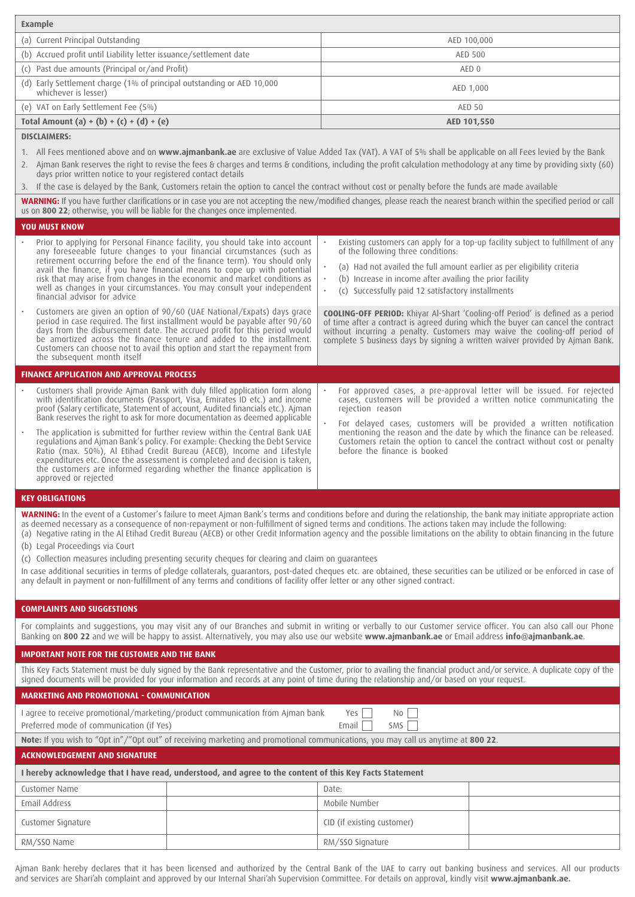| <b>Example</b>                                                                                                                                                                                                                                                                                                                                                                                                                                                                                                                                                                                                                                                                                                                                                                                                                                                                                                                                                            |                                                                                                                                                                                                                                                                                                                                                            |  |  |  |
|---------------------------------------------------------------------------------------------------------------------------------------------------------------------------------------------------------------------------------------------------------------------------------------------------------------------------------------------------------------------------------------------------------------------------------------------------------------------------------------------------------------------------------------------------------------------------------------------------------------------------------------------------------------------------------------------------------------------------------------------------------------------------------------------------------------------------------------------------------------------------------------------------------------------------------------------------------------------------|------------------------------------------------------------------------------------------------------------------------------------------------------------------------------------------------------------------------------------------------------------------------------------------------------------------------------------------------------------|--|--|--|
| (a) Current Principal Outstanding                                                                                                                                                                                                                                                                                                                                                                                                                                                                                                                                                                                                                                                                                                                                                                                                                                                                                                                                         | AED 100,000                                                                                                                                                                                                                                                                                                                                                |  |  |  |
| (b) Accrued profit until Liability letter issuance/settlement date                                                                                                                                                                                                                                                                                                                                                                                                                                                                                                                                                                                                                                                                                                                                                                                                                                                                                                        | <b>AED 500</b>                                                                                                                                                                                                                                                                                                                                             |  |  |  |
| (c) Past due amounts (Principal or/and Profit)                                                                                                                                                                                                                                                                                                                                                                                                                                                                                                                                                                                                                                                                                                                                                                                                                                                                                                                            | AED 0                                                                                                                                                                                                                                                                                                                                                      |  |  |  |
| (d) Early Settlement charge (1% of principal outstanding or AED 10,000<br>whichever is lesser)                                                                                                                                                                                                                                                                                                                                                                                                                                                                                                                                                                                                                                                                                                                                                                                                                                                                            | AED 1,000                                                                                                                                                                                                                                                                                                                                                  |  |  |  |
| (e) VAT on Early Settlement Fee (5%)                                                                                                                                                                                                                                                                                                                                                                                                                                                                                                                                                                                                                                                                                                                                                                                                                                                                                                                                      | <b>AED 50</b>                                                                                                                                                                                                                                                                                                                                              |  |  |  |
| Total Amount (a) + (b) + (c) + (d) + (e)                                                                                                                                                                                                                                                                                                                                                                                                                                                                                                                                                                                                                                                                                                                                                                                                                                                                                                                                  | AED 101,550                                                                                                                                                                                                                                                                                                                                                |  |  |  |
| <b>DISCLAIMERS:</b>                                                                                                                                                                                                                                                                                                                                                                                                                                                                                                                                                                                                                                                                                                                                                                                                                                                                                                                                                       |                                                                                                                                                                                                                                                                                                                                                            |  |  |  |
| 1. All Fees mentioned above and on www.ajmanbank.ae are exclusive of Value Added Tax (VAT). A VAT of 5% shall be applicable on all Fees levied by the Bank                                                                                                                                                                                                                                                                                                                                                                                                                                                                                                                                                                                                                                                                                                                                                                                                                |                                                                                                                                                                                                                                                                                                                                                            |  |  |  |
| 2. Ajman Bank reserves the right to revise the fees & charges and terms & conditions, including the profit calculation methodology at any time by providing sixty (60)<br>days prior written notice to your registered contact details<br>3. If the case is delayed by the Bank, Customers retain the option to cancel the contract without cost or penalty before the funds are made available                                                                                                                                                                                                                                                                                                                                                                                                                                                                                                                                                                           |                                                                                                                                                                                                                                                                                                                                                            |  |  |  |
| WARNING: If you have further clarifications or in case you are not accepting the new/modified changes, please reach the nearest branch within the specified period or call                                                                                                                                                                                                                                                                                                                                                                                                                                                                                                                                                                                                                                                                                                                                                                                                |                                                                                                                                                                                                                                                                                                                                                            |  |  |  |
| us on 800 22; otherwise, you will be liable for the changes once implemented.                                                                                                                                                                                                                                                                                                                                                                                                                                                                                                                                                                                                                                                                                                                                                                                                                                                                                             |                                                                                                                                                                                                                                                                                                                                                            |  |  |  |
| <b>YOU MUST KNOW</b>                                                                                                                                                                                                                                                                                                                                                                                                                                                                                                                                                                                                                                                                                                                                                                                                                                                                                                                                                      |                                                                                                                                                                                                                                                                                                                                                            |  |  |  |
| Prior to applying for Personal Finance facility, you should take into account<br>any foreseeable future changes to your financial circumstances (such as<br>retirement occurring before the end of the finance term). You should only<br>avail the finance, if you have financial means to cope up with potential<br>risk that may arise from changes in the economic and market conditions as<br>well as changes in your circumstances. You may consult your independent<br>financial advisor for advice                                                                                                                                                                                                                                                                                                                                                                                                                                                                 | Existing customers can apply for a top-up facility subject to fulfillment of any<br>of the following three conditions:<br>(a) Had not availed the full amount earlier as per eligibility criteria<br>$\bullet$<br>(b) Increase in income after availing the prior facility<br>$\bullet$<br>(c) Successfully paid 12 satisfactory installments<br>$\bullet$ |  |  |  |
| Customers are given an option of 90/60 (UAE National/Expats) days grace<br>period in case required. The first installment would be payable after 90/60<br>days from the disbursement date. The accrued profit for this period would<br>be amortized across the finance tenure and added to the installment.<br>Customers can choose not to avail this option and start the repayment from<br>the subsequent month itself                                                                                                                                                                                                                                                                                                                                                                                                                                                                                                                                                  | <b>COOLING-OFF PERIOD:</b> Khiyar Al-Shart 'Cooling-off Period' is defined as a period<br>of time after a contract is agreed during which the buyer can cancel the contract<br>without incurring a penalty. Customers may waive the cooling-off period of<br>complete 5 business days by signing a written waiver provided by Ajman Bank.                  |  |  |  |
| <b>FINANCE APPLICATION AND APPROVAL PROCESS</b>                                                                                                                                                                                                                                                                                                                                                                                                                                                                                                                                                                                                                                                                                                                                                                                                                                                                                                                           |                                                                                                                                                                                                                                                                                                                                                            |  |  |  |
| Customers shall provide Ajman Bank with duly filled application form along<br>with identification documents (Passport, Visa, Emirates ID etc.) and income<br>proof (Salary certificate, Statement of account, Audited financials etc.). Ajman<br>Bank reserves the right to ask for more documentation as deemed applicable                                                                                                                                                                                                                                                                                                                                                                                                                                                                                                                                                                                                                                               | For approved cases, a pre-approval letter will be issued. For rejected<br>cases, customers will be provided a written notice communicating the<br>rejection reason                                                                                                                                                                                         |  |  |  |
| The application is submitted for further review within the Central Bank UAE<br>regulations and Ajman Bank's policy. For example: Checking the Debt Service<br>Ratio (max. 50%), Al Etihad Credit Bureau (AECB), Income and Lifestyle<br>expenditures etc. Once the assessment is completed and decision is taken,<br>the customers are informed regarding whether the finance application is<br>approved or rejected                                                                                                                                                                                                                                                                                                                                                                                                                                                                                                                                                      | For delayed cases, customers will be provided a written notification<br>mentioning the reason and the date by which the finance can be released.<br>Customers retain the option to cancel the contract without cost or penalty<br>before the finance is booked                                                                                             |  |  |  |
| <b>KEY OBLIGATIONS</b>                                                                                                                                                                                                                                                                                                                                                                                                                                                                                                                                                                                                                                                                                                                                                                                                                                                                                                                                                    |                                                                                                                                                                                                                                                                                                                                                            |  |  |  |
| <b>WARNING:</b> In the event of a Customer's failure to meet Ajman Bank's terms and conditions before and during the relationship, the bank may initiate appropriate action<br>as deemed necessary as a consequence of non-repayment or non-fulfillment of signed terms and conditions. The actions taken may include the following:<br>(a) Negative rating in the Al Etihad Credit Bureau (AECB) or other Credit Information agency and the possible limitations on the ability to obtain financing in the future<br>(b) Legal Proceedings via Court<br>(c) Collection measures including presenting security cheques for clearing and claim on quarantees<br>In case additional securities in terms of pledge collaterals, guarantors, post-dated cheques etc. are obtained, these securities can be utilized or be enforced in case of<br>any default in payment or non-fulfillment of any terms and conditions of facility offer letter or any other signed contract. |                                                                                                                                                                                                                                                                                                                                                            |  |  |  |
| <b>COMPLAINTS AND SUGGESTIONS</b>                                                                                                                                                                                                                                                                                                                                                                                                                                                                                                                                                                                                                                                                                                                                                                                                                                                                                                                                         |                                                                                                                                                                                                                                                                                                                                                            |  |  |  |
| For complaints and suggestions, you may visit any of our Branches and submit in writing or verbally to our Customer service officer. You can also call our Phone<br>Banking on 800 22 and we will be happy to assist. Alternatively, you may also use our website www.ajmanbank.ae or Email address info@ajmanbank.ae.                                                                                                                                                                                                                                                                                                                                                                                                                                                                                                                                                                                                                                                    |                                                                                                                                                                                                                                                                                                                                                            |  |  |  |
| <b>IMPORTANT NOTE FOR THE CUSTOMER AND THE BANK</b>                                                                                                                                                                                                                                                                                                                                                                                                                                                                                                                                                                                                                                                                                                                                                                                                                                                                                                                       |                                                                                                                                                                                                                                                                                                                                                            |  |  |  |
| This Key Facts Statement must be duly signed by the Bank representative and the Customer, prior to availing the financial product and/or service. A duplicate copy of the<br>signed documents will be provided for your information and records at any point of time during the relationship and/or based on your request.                                                                                                                                                                                                                                                                                                                                                                                                                                                                                                                                                                                                                                                |                                                                                                                                                                                                                                                                                                                                                            |  |  |  |
| <b>MARKETING AND PROMOTIONAL - COMMUNICATION</b>                                                                                                                                                                                                                                                                                                                                                                                                                                                                                                                                                                                                                                                                                                                                                                                                                                                                                                                          |                                                                                                                                                                                                                                                                                                                                                            |  |  |  |
| I agree to receive promotional/marketing/product communication from Ajman bank<br>No<br>Yes  <br>Preferred mode of communication (if Yes)<br>Email<br>SMS                                                                                                                                                                                                                                                                                                                                                                                                                                                                                                                                                                                                                                                                                                                                                                                                                 |                                                                                                                                                                                                                                                                                                                                                            |  |  |  |
| Note: If you wish to "Opt in"/"Opt out" of receiving marketing and promotional communications, you may call us anytime at 800 22.                                                                                                                                                                                                                                                                                                                                                                                                                                                                                                                                                                                                                                                                                                                                                                                                                                         |                                                                                                                                                                                                                                                                                                                                                            |  |  |  |
| <b>ACKNOWLEDGEMENT AND SIGNATURE</b>                                                                                                                                                                                                                                                                                                                                                                                                                                                                                                                                                                                                                                                                                                                                                                                                                                                                                                                                      |                                                                                                                                                                                                                                                                                                                                                            |  |  |  |
| I hereby acknowledge that I have read, understood, and agree to the content of this Key Facts Statement                                                                                                                                                                                                                                                                                                                                                                                                                                                                                                                                                                                                                                                                                                                                                                                                                                                                   |                                                                                                                                                                                                                                                                                                                                                            |  |  |  |
| Customer Name                                                                                                                                                                                                                                                                                                                                                                                                                                                                                                                                                                                                                                                                                                                                                                                                                                                                                                                                                             | Date:                                                                                                                                                                                                                                                                                                                                                      |  |  |  |
| Email Address                                                                                                                                                                                                                                                                                                                                                                                                                                                                                                                                                                                                                                                                                                                                                                                                                                                                                                                                                             | Mobile Number                                                                                                                                                                                                                                                                                                                                              |  |  |  |
| Customer Signature                                                                                                                                                                                                                                                                                                                                                                                                                                                                                                                                                                                                                                                                                                                                                                                                                                                                                                                                                        | CID (if existing customer)                                                                                                                                                                                                                                                                                                                                 |  |  |  |
|                                                                                                                                                                                                                                                                                                                                                                                                                                                                                                                                                                                                                                                                                                                                                                                                                                                                                                                                                                           |                                                                                                                                                                                                                                                                                                                                                            |  |  |  |
| RM/SSO Name                                                                                                                                                                                                                                                                                                                                                                                                                                                                                                                                                                                                                                                                                                                                                                                                                                                                                                                                                               | RM/SSO Signature                                                                                                                                                                                                                                                                                                                                           |  |  |  |

Ajman Bank hereby declares that it has been licensed and authorized by the Central Bank of the UAE to carry out banking business and services. All our products and services are Shari'ah complaint and approved by our Internal Shari'ah Supervision Committee. For details on approval, kindly visit **[www.ajmanbank.ae.](https://www.ajmanbank.ae/site/fatawa-of-internal-sharia-supervision-committee-of-ajman-bank1)**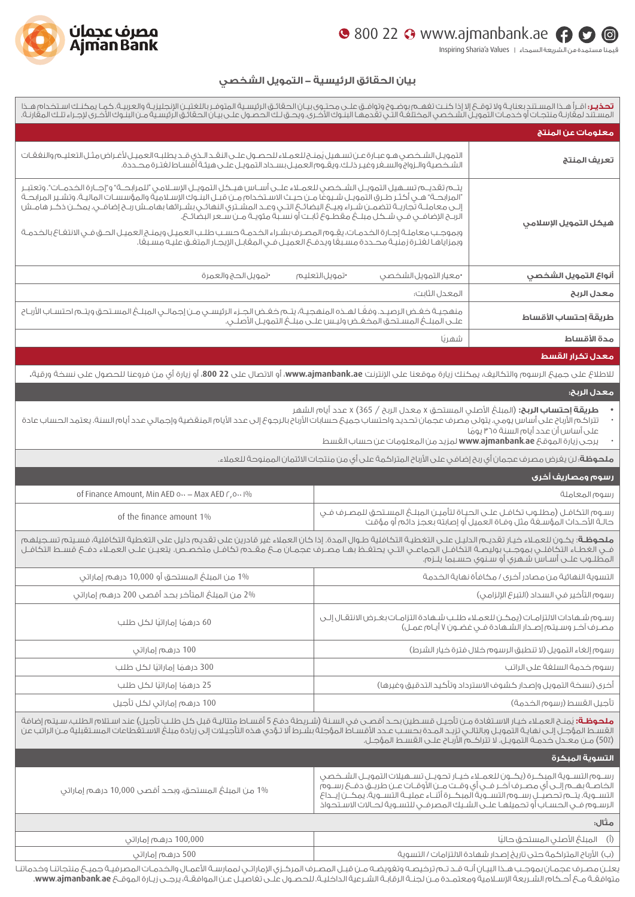## www.ajmanbank.ae 800 22

قيمنا مستمدة من الشريعة السمحاء Inspiring Sharia'a Values ।



## **بيان الحقائق الرئيسية - التمويل الشخصي**

| معلومات عن المنتج<br>التمويـل الشـخصـي هـو عبـارة عـن تسـهيل يُمنـح للعمـلاء للحـصـول علـى النقـد الـذي قـد يطلبـه العميـل لأغـراض مثـل التعليـم والنفقـات<br>الشـخـصية والـزواج والسـغر وغيـر ذلـك. ويقـوم العميـل بســداد التمويـل علـى هيئـة أقسـا<br>تعريف المنتج<br>يتــم تقديــم تســهيل التمويــل الشــخصـي للعمــلاء علــى أســاس هيــكل التمويــل الإســلامـي "للمرابحــة" و"إجــارة الخدمــات". وتعتبــر<br>"المرابحـة" هـي أكثـر طـرق التمويـل شـيوغًا مـن حيـث الاسـتخدام مـن قبـل البنـوك الإسـلامية والمؤسسـات الماليـة. وتشـير المرابحـة<br>إلــى معاملــة تـُجاريــة تتضمــن شــراء وبيــع البضائــع التــي وعــد المشــتري النهائــي بشــرائها بهامــش ربــح إضافــي. يمكــن ذكــر هامــش<br>الربــح الإضافــي فــي شــكل مبلــع مقطــوع ثابــت أو نســبة مئويــة مــن ســ<br>هيكل التمويل الإسلامي<br>وبموجـب معاملـة إجـارة الخدمـات، يقِـوم المصـرف بشـراء الخدمـة حسـب طلـب العميـل ويمنـح العميـل الحـق فـي الانتفـاع بالخدمـة<br>وبمزاياهـا لغتـرة زمنيـة محـددة مسـبعًا ويدفــ6 العميـل فــي المقابـل الإيجـار المتغـق عليـه مسـبعًا.<br>أنواع التمويل الشخصي<br>•تمويل الحج والعمرة<br>•تمويل التعليم<br>•معيار التمويل الشخصى<br>المعدل الثابت:<br>معدل الربح<br>منفجيـة خغـض الرصيـد. وفقًـا لهـذه المنفجيـة، يتــم خغـض الجـزء الرئيسـي مـن إجمالـي المبلــغ المسـتحق ويتــم احتسـاب الأربـاح<br>طريقة إحتساب الأقساط<br>علــي المبلــعُ المسـتحق المخعَـض وليـس علــي مبلــعُ التمويـلِ الأصلــي.<br>مدة الأقساط<br>شهريًا<br>معدل تكرار القسط<br>للاطلاع على جميع الرسوم والتكاليف، يمكنك زيارة موقعنا على الإنترنت www.ajmanbank.ae، أو الاتصال على 22 800، أو زيارة أي من فروعنا للحصول على نسخة ورقية.<br>معدل الربح:<br><b>طريقة إحتساب الربح:</b> (المبلغ الأصلى المستحق x معدل الربح / 365) x عدد أيام الشهر<br>تتراكم الأرباح على أساس يومي. يتولى مصرف عجمان تحديد واحتساب جميع حسابات الأرباح بالرجوع إلى عدد الأيام المنقضية وإجمالي عدد أيام السنة. يعتمد الحساب عادة<br>على أساس أن عدد أيام السنة ٦٥ يومًا<br>يرجى زيارة الموقع www.ajmanbank.ae لمزيد من المعلومات عن حساب القسط<br><b>ملحوظة</b> ؛ لن يغرض مصرف عجمان أي ربح إضافي على الأرباح المتراكمة على أي من منتجات الائتمان الممنوحة للعملاء.<br>رسوم ومصاريف أخرى<br>of Finance Amount, Min AED on - Max AED r, on 1%<br>رسوم المعاملة<br>رسـوم التكافـل (مطلـوب تكافـل علـى الحيـاة لتأميـن المبلـغ المسـتحق للمصـرف فـي<br>حالـة الأحـداث المؤسـغة مثل وفـاة العميل أو إصابته بعجز دائم أو مؤقت<br>of the finance amount 1%<br><b>ملحوظة</b> : يكون للعملاء خيار تقديم الدليل على التغطية التكافلية طوال المدة. إذا كان العملاء غير قادرين على تقديم دليل على التغطية التكافلية، فسيتم تسجيلهم<br>فـي الغطـاءُ التكافلـي بموجـب بوليصـة التكافـل الجماعـي التـي يحتفظ بهـا مصري عـي محرين عـي بحدي دين عبن التحصية التحاملية، مسـيم لسـجيلهم<br>المطلـوب علـي أسـاس شـهري أو سـنوي حسـبما يلـزم.<br>المطلـوب علـي أسـاس شـهري أو سـنو<br>1% من المبلغ المستحق أو 10,000 درهم إماراتي<br>التسوية النهائية من مصادر أخرى / مكافأة نهاية الخدمة<br>2% من المبلغ المتأخر بحد أقصى 200 درهم إماراتي<br>رسوم التأخير في السداد (التبرع الإلزامي)<br>رسـوم شـهادات الالتزامـات (يمكـن للعمـلاء طلـب شـهادة التزامـات بغـرض الانتقـال إلـى<br>60 درهمًا إماراتيًا لكل طلب<br>مصـرف آخـر وسـيتـم إصـدار الشـهادة فـى غضـون ۷ أيـام عمـل) |
|----------------------------------------------------------------------------------------------------------------------------------------------------------------------------------------------------------------------------------------------------------------------------------------------------------------------------------------------------------------------------------------------------------------------------------------------------------------------------------------------------------------------------------------------------------------------------------------------------------------------------------------------------------------------------------------------------------------------------------------------------------------------------------------------------------------------------------------------------------------------------------------------------------------------------------------------------------------------------------------------------------------------------------------------------------------------------------------------------------------------------------------------------------------------------------------------------------------------------------------------------------------------------------------------------------------------------------------------------------------------------------------------------------------------------------------------------------------------------------------------------------------------------------------------------------------------------------------------------------------------------------------------------------------------------------------------------------------------------------------------------------------------------------------------------------------------------------------------------------------------------------------------------------------------------------------------------------------------------------------------------------------------------------------------------------------------------------------------------------------------------------------------------------------------------------------------------------------------------------------------------------------------------------------------------------------------------------------------------------------------------------------------------------------------------------------------------------------------------------------------------------------------------------------------------------------------------------------------------------------------------------------------------------------------------------------------------------------------------------------------------------------------------------------------------------------------------------------------------------------------------------------------------------------------------------------------------------------------------------------------------------------------------------------------------------------------------------------------------------------------------------------------------------------------------------------------------------------------------------------|
|                                                                                                                                                                                                                                                                                                                                                                                                                                                                                                                                                                                                                                                                                                                                                                                                                                                                                                                                                                                                                                                                                                                                                                                                                                                                                                                                                                                                                                                                                                                                                                                                                                                                                                                                                                                                                                                                                                                                                                                                                                                                                                                                                                                                                                                                                                                                                                                                                                                                                                                                                                                                                                                                                                                                                                                                                                                                                                                                                                                                                                                                                                                                                                                                                                        |
|                                                                                                                                                                                                                                                                                                                                                                                                                                                                                                                                                                                                                                                                                                                                                                                                                                                                                                                                                                                                                                                                                                                                                                                                                                                                                                                                                                                                                                                                                                                                                                                                                                                                                                                                                                                                                                                                                                                                                                                                                                                                                                                                                                                                                                                                                                                                                                                                                                                                                                                                                                                                                                                                                                                                                                                                                                                                                                                                                                                                                                                                                                                                                                                                                                        |
|                                                                                                                                                                                                                                                                                                                                                                                                                                                                                                                                                                                                                                                                                                                                                                                                                                                                                                                                                                                                                                                                                                                                                                                                                                                                                                                                                                                                                                                                                                                                                                                                                                                                                                                                                                                                                                                                                                                                                                                                                                                                                                                                                                                                                                                                                                                                                                                                                                                                                                                                                                                                                                                                                                                                                                                                                                                                                                                                                                                                                                                                                                                                                                                                                                        |
|                                                                                                                                                                                                                                                                                                                                                                                                                                                                                                                                                                                                                                                                                                                                                                                                                                                                                                                                                                                                                                                                                                                                                                                                                                                                                                                                                                                                                                                                                                                                                                                                                                                                                                                                                                                                                                                                                                                                                                                                                                                                                                                                                                                                                                                                                                                                                                                                                                                                                                                                                                                                                                                                                                                                                                                                                                                                                                                                                                                                                                                                                                                                                                                                                                        |
|                                                                                                                                                                                                                                                                                                                                                                                                                                                                                                                                                                                                                                                                                                                                                                                                                                                                                                                                                                                                                                                                                                                                                                                                                                                                                                                                                                                                                                                                                                                                                                                                                                                                                                                                                                                                                                                                                                                                                                                                                                                                                                                                                                                                                                                                                                                                                                                                                                                                                                                                                                                                                                                                                                                                                                                                                                                                                                                                                                                                                                                                                                                                                                                                                                        |
|                                                                                                                                                                                                                                                                                                                                                                                                                                                                                                                                                                                                                                                                                                                                                                                                                                                                                                                                                                                                                                                                                                                                                                                                                                                                                                                                                                                                                                                                                                                                                                                                                                                                                                                                                                                                                                                                                                                                                                                                                                                                                                                                                                                                                                                                                                                                                                                                                                                                                                                                                                                                                                                                                                                                                                                                                                                                                                                                                                                                                                                                                                                                                                                                                                        |
|                                                                                                                                                                                                                                                                                                                                                                                                                                                                                                                                                                                                                                                                                                                                                                                                                                                                                                                                                                                                                                                                                                                                                                                                                                                                                                                                                                                                                                                                                                                                                                                                                                                                                                                                                                                                                                                                                                                                                                                                                                                                                                                                                                                                                                                                                                                                                                                                                                                                                                                                                                                                                                                                                                                                                                                                                                                                                                                                                                                                                                                                                                                                                                                                                                        |
|                                                                                                                                                                                                                                                                                                                                                                                                                                                                                                                                                                                                                                                                                                                                                                                                                                                                                                                                                                                                                                                                                                                                                                                                                                                                                                                                                                                                                                                                                                                                                                                                                                                                                                                                                                                                                                                                                                                                                                                                                                                                                                                                                                                                                                                                                                                                                                                                                                                                                                                                                                                                                                                                                                                                                                                                                                                                                                                                                                                                                                                                                                                                                                                                                                        |
|                                                                                                                                                                                                                                                                                                                                                                                                                                                                                                                                                                                                                                                                                                                                                                                                                                                                                                                                                                                                                                                                                                                                                                                                                                                                                                                                                                                                                                                                                                                                                                                                                                                                                                                                                                                                                                                                                                                                                                                                                                                                                                                                                                                                                                                                                                                                                                                                                                                                                                                                                                                                                                                                                                                                                                                                                                                                                                                                                                                                                                                                                                                                                                                                                                        |
|                                                                                                                                                                                                                                                                                                                                                                                                                                                                                                                                                                                                                                                                                                                                                                                                                                                                                                                                                                                                                                                                                                                                                                                                                                                                                                                                                                                                                                                                                                                                                                                                                                                                                                                                                                                                                                                                                                                                                                                                                                                                                                                                                                                                                                                                                                                                                                                                                                                                                                                                                                                                                                                                                                                                                                                                                                                                                                                                                                                                                                                                                                                                                                                                                                        |
|                                                                                                                                                                                                                                                                                                                                                                                                                                                                                                                                                                                                                                                                                                                                                                                                                                                                                                                                                                                                                                                                                                                                                                                                                                                                                                                                                                                                                                                                                                                                                                                                                                                                                                                                                                                                                                                                                                                                                                                                                                                                                                                                                                                                                                                                                                                                                                                                                                                                                                                                                                                                                                                                                                                                                                                                                                                                                                                                                                                                                                                                                                                                                                                                                                        |
|                                                                                                                                                                                                                                                                                                                                                                                                                                                                                                                                                                                                                                                                                                                                                                                                                                                                                                                                                                                                                                                                                                                                                                                                                                                                                                                                                                                                                                                                                                                                                                                                                                                                                                                                                                                                                                                                                                                                                                                                                                                                                                                                                                                                                                                                                                                                                                                                                                                                                                                                                                                                                                                                                                                                                                                                                                                                                                                                                                                                                                                                                                                                                                                                                                        |
|                                                                                                                                                                                                                                                                                                                                                                                                                                                                                                                                                                                                                                                                                                                                                                                                                                                                                                                                                                                                                                                                                                                                                                                                                                                                                                                                                                                                                                                                                                                                                                                                                                                                                                                                                                                                                                                                                                                                                                                                                                                                                                                                                                                                                                                                                                                                                                                                                                                                                                                                                                                                                                                                                                                                                                                                                                                                                                                                                                                                                                                                                                                                                                                                                                        |
|                                                                                                                                                                                                                                                                                                                                                                                                                                                                                                                                                                                                                                                                                                                                                                                                                                                                                                                                                                                                                                                                                                                                                                                                                                                                                                                                                                                                                                                                                                                                                                                                                                                                                                                                                                                                                                                                                                                                                                                                                                                                                                                                                                                                                                                                                                                                                                                                                                                                                                                                                                                                                                                                                                                                                                                                                                                                                                                                                                                                                                                                                                                                                                                                                                        |
|                                                                                                                                                                                                                                                                                                                                                                                                                                                                                                                                                                                                                                                                                                                                                                                                                                                                                                                                                                                                                                                                                                                                                                                                                                                                                                                                                                                                                                                                                                                                                                                                                                                                                                                                                                                                                                                                                                                                                                                                                                                                                                                                                                                                                                                                                                                                                                                                                                                                                                                                                                                                                                                                                                                                                                                                                                                                                                                                                                                                                                                                                                                                                                                                                                        |
|                                                                                                                                                                                                                                                                                                                                                                                                                                                                                                                                                                                                                                                                                                                                                                                                                                                                                                                                                                                                                                                                                                                                                                                                                                                                                                                                                                                                                                                                                                                                                                                                                                                                                                                                                                                                                                                                                                                                                                                                                                                                                                                                                                                                                                                                                                                                                                                                                                                                                                                                                                                                                                                                                                                                                                                                                                                                                                                                                                                                                                                                                                                                                                                                                                        |
|                                                                                                                                                                                                                                                                                                                                                                                                                                                                                                                                                                                                                                                                                                                                                                                                                                                                                                                                                                                                                                                                                                                                                                                                                                                                                                                                                                                                                                                                                                                                                                                                                                                                                                                                                                                                                                                                                                                                                                                                                                                                                                                                                                                                                                                                                                                                                                                                                                                                                                                                                                                                                                                                                                                                                                                                                                                                                                                                                                                                                                                                                                                                                                                                                                        |
|                                                                                                                                                                                                                                                                                                                                                                                                                                                                                                                                                                                                                                                                                                                                                                                                                                                                                                                                                                                                                                                                                                                                                                                                                                                                                                                                                                                                                                                                                                                                                                                                                                                                                                                                                                                                                                                                                                                                                                                                                                                                                                                                                                                                                                                                                                                                                                                                                                                                                                                                                                                                                                                                                                                                                                                                                                                                                                                                                                                                                                                                                                                                                                                                                                        |
|                                                                                                                                                                                                                                                                                                                                                                                                                                                                                                                                                                                                                                                                                                                                                                                                                                                                                                                                                                                                                                                                                                                                                                                                                                                                                                                                                                                                                                                                                                                                                                                                                                                                                                                                                                                                                                                                                                                                                                                                                                                                                                                                                                                                                                                                                                                                                                                                                                                                                                                                                                                                                                                                                                                                                                                                                                                                                                                                                                                                                                                                                                                                                                                                                                        |
| رسوم إلغاء التمويل (لا تنطبق الرسوم خلال فترة خيار الشرط)<br>100 درهم إماراتي                                                                                                                                                                                                                                                                                                                                                                                                                                                                                                                                                                                                                                                                                                                                                                                                                                                                                                                                                                                                                                                                                                                                                                                                                                                                                                                                                                                                                                                                                                                                                                                                                                                                                                                                                                                                                                                                                                                                                                                                                                                                                                                                                                                                                                                                                                                                                                                                                                                                                                                                                                                                                                                                                                                                                                                                                                                                                                                                                                                                                                                                                                                                                          |
| رسوم خدمة السلغة على الراتب<br>300 درهمًا إماراتيًا لكل طلب                                                                                                                                                                                                                                                                                                                                                                                                                                                                                                                                                                                                                                                                                                                                                                                                                                                                                                                                                                                                                                                                                                                                                                                                                                                                                                                                                                                                                                                                                                                                                                                                                                                                                                                                                                                                                                                                                                                                                                                                                                                                                                                                                                                                                                                                                                                                                                                                                                                                                                                                                                                                                                                                                                                                                                                                                                                                                                                                                                                                                                                                                                                                                                            |
| أخرى (نسخة التمويل وإصدار كشوف الاسترداد وتأكيد التدقيق وغيرها)<br>25 درهمًا إماراتيًا لكل طلب                                                                                                                                                                                                                                                                                                                                                                                                                                                                                                                                                                                                                                                                                                                                                                                                                                                                                                                                                                                                                                                                                                                                                                                                                                                                                                                                                                                                                                                                                                                                                                                                                                                                                                                                                                                                                                                                                                                                                                                                                                                                                                                                                                                                                                                                                                                                                                                                                                                                                                                                                                                                                                                                                                                                                                                                                                                                                                                                                                                                                                                                                                                                         |
| 100 درهم إماراتي لكل تأجيل<br>تأحيل القسط (رسوم الخدمة)                                                                                                                                                                                                                                                                                                                                                                                                                                                                                                                                                                                                                                                                                                                                                                                                                                                                                                                                                                                                                                                                                                                                                                                                                                                                                                                                                                                                                                                                                                                                                                                                                                                                                                                                                                                                                                                                                                                                                                                                                                                                                                                                                                                                                                                                                                                                                                                                                                                                                                                                                                                                                                                                                                                                                                                                                                                                                                                                                                                                                                                                                                                                                                                |
| <b>ملحوظة:</b> يُمنح العملاء خيار الاستفادة مـن تأجيـل قسـطين بحـد أقصـى فى السـنة (شـريطة دفـع 5 أقسـاط متتاليـة قبل كل طلـب تأجيل) عند اسـتلام الطلب، سـيتم إضافة<br>القسط المؤجل إلى نهاية التمويل وبالتالى تزيد المدة بحسب عدد الأقساط المؤجلة بشرط ألا تؤدى هذه التأجيلات إلى زيادة مبلغ الاستقطاعات المستقبلية من الراتب عن<br>(50٪) مـن معـدل خـدمـة التمويـل. لا تتراكــم الأربـاح علــى القسـط المؤجـل.                                                                                                                                                                                                                                                                                                                                                                                                                                                                                                                                                                                                                                                                                                                                                                                                                                                                                                                                                                                                                                                                                                                                                                                                                                                                                                                                                                                                                                                                                                                                                                                                                                                                                                                                                                                                                                                                                                                                                                                                                                                                                                                                                                                                                                                                                                                                                                                                                                                                                                                                                                                                                                                                                                                                                                                                                       |
| التسوية المبكرة                                                                                                                                                                                                                                                                                                                                                                                                                                                                                                                                                                                                                                                                                                                                                                                                                                                                                                                                                                                                                                                                                                                                                                                                                                                                                                                                                                                                                                                                                                                                                                                                                                                                                                                                                                                                                                                                                                                                                                                                                                                                                                                                                                                                                                                                                                                                                                                                                                                                                                                                                                                                                                                                                                                                                                                                                                                                                                                                                                                                                                                                                                                                                                                                                        |
| رســوم التســوية المبكــرة (يكــون للعمــلاء خيــار تحويــل تســهيلات التمويــل الشــخصـ<br>الخاصــة بهــم إلـــى أى مصــرف آخــر فــى أى وقــت مــن الأوقــات عــن طريــق دفــ6 رســوم<br>1% من المبلغ المستحق، وبحد أقصى 10,000 درهم إماراتي<br>التســوية. يتـــم تحصيـَــل رســوم التســوية المبكــرة أثنــاء عمليــة التســوية. يمكــن إيــداع.<br>الرسـوم فــى الحسـاب أو تحميلهـا علــى الشـيك المصرفـى للتسـوية لحــالات الاسـتحواذ                                                                                                                                                                                                                                                                                                                                                                                                                                                                                                                                                                                                                                                                                                                                                                                                                                                                                                                                                                                                                                                                                                                                                                                                                                                                                                                                                                                                                                                                                                                                                                                                                                                                                                                                                                                                                                                                                                                                                                                                                                                                                                                                                                                                                                                                                                                                                                                                                                                                                                                                                                                                                                                                                                                                                                                             |
| ەىتال:                                                                                                                                                                                                                                                                                                                                                                                                                                                                                                                                                                                                                                                                                                                                                                                                                                                                                                                                                                                                                                                                                                                                                                                                                                                                                                                                                                                                                                                                                                                                                                                                                                                                                                                                                                                                                                                                                                                                                                                                                                                                                                                                                                                                                                                                                                                                                                                                                                                                                                                                                                                                                                                                                                                                                                                                                                                                                                                                                                                                                                                                                                                                                                                                                                 |
| $(\mathring{\mathbb{I}})$<br>100,000 درهم إماراتي<br>المبلغ الأصلى المستحق حاليًا                                                                                                                                                                                                                                                                                                                                                                                                                                                                                                                                                                                                                                                                                                                                                                                                                                                                                                                                                                                                                                                                                                                                                                                                                                                                                                                                                                                                                                                                                                                                                                                                                                                                                                                                                                                                                                                                                                                                                                                                                                                                                                                                                                                                                                                                                                                                                                                                                                                                                                                                                                                                                                                                                                                                                                                                                                                                                                                                                                                                                                                                                                                                                      |
| (ب) الأرباح المتراكمة حتى تاريخ إصدار شهادة الالتزامات / التسوية<br>500 درهم إماراتي<br>بعلـن مصـرف عجمـان بموجـب هـذا البيـان أنـه قـد تـم ترخيصـه وتغويضـه مـن قبـل المصـرف المركـزى الإماراتـى لممارسـة الأعمـال والخدمـات المصرفيـة جميـع منتجاتنـا وخدماتنا                                                                                                                                                                                                                                                                                                                                                                                                                                                                                                                                                                                                                                                                                                                                                                                                                                                                                                                                                                                                                                                                                                                                                                                                                                                                                                                                                                                                                                                                                                                                                                                                                                                                                                                                                                                                                                                                                                                                                                                                                                                                                                                                                                                                                                                                                                                                                                                                                                                                                                                                                                                                                                                                                                                                                                                                                                                                                                                                                                       |